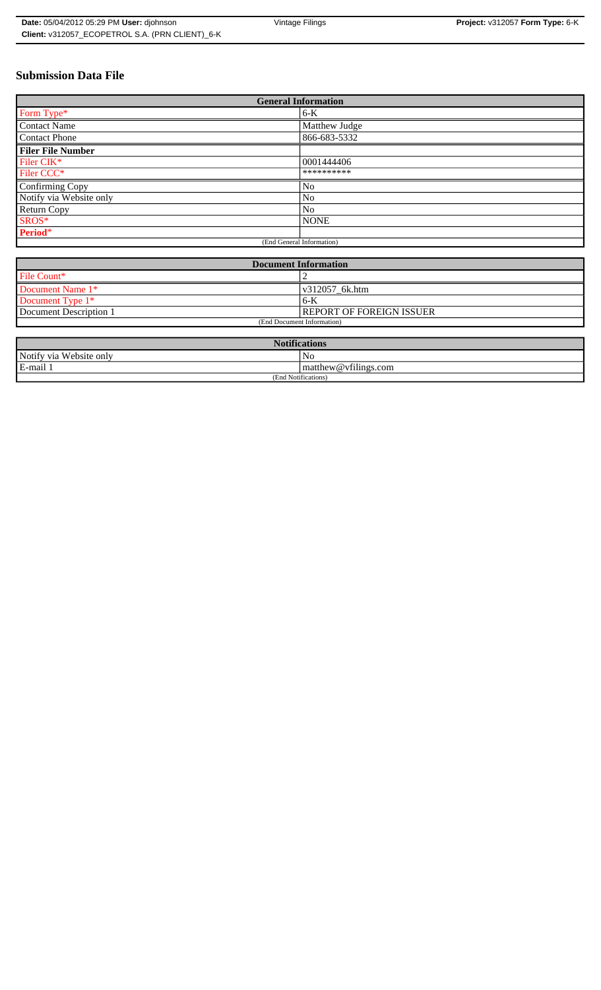# **Submission Data File**

| <b>General Information</b> |                |
|----------------------------|----------------|
| Form Type*                 | $6-K$          |
| <b>Contact Name</b>        | Matthew Judge  |
| Contact Phone              | 866-683-5332   |
| <b>Filer File Number</b>   |                |
| Filer CIK*                 | 0001444406     |
| Filer CCC*                 | **********     |
| Confirming Copy            | No             |
| Notify via Website only    | N <sub>0</sub> |
| <b>Return Copy</b>         | No             |
| SROS*                      | <b>NONE</b>    |
| Period*                    |                |
| (End General Information)  |                |

| <b>Document Information</b> |                          |
|-----------------------------|--------------------------|
| File Count*                 |                          |
| Document Name 1*            | v312057 6k.htm           |
| Document Type 1*            | $6-K$                    |
| Document Description 1      | REPORT OF FOREIGN ISSUER |
| (End Document Information)  |                          |

| <b>Notific</b><br><b>fications</b> |                                       |
|------------------------------------|---------------------------------------|
| Notify via<br>Website only         | N <sub>0</sub>                        |
| E-mail                             | $\sim$ $\sim$<br>matthew@vfilings.com |
| (End Notifications)                |                                       |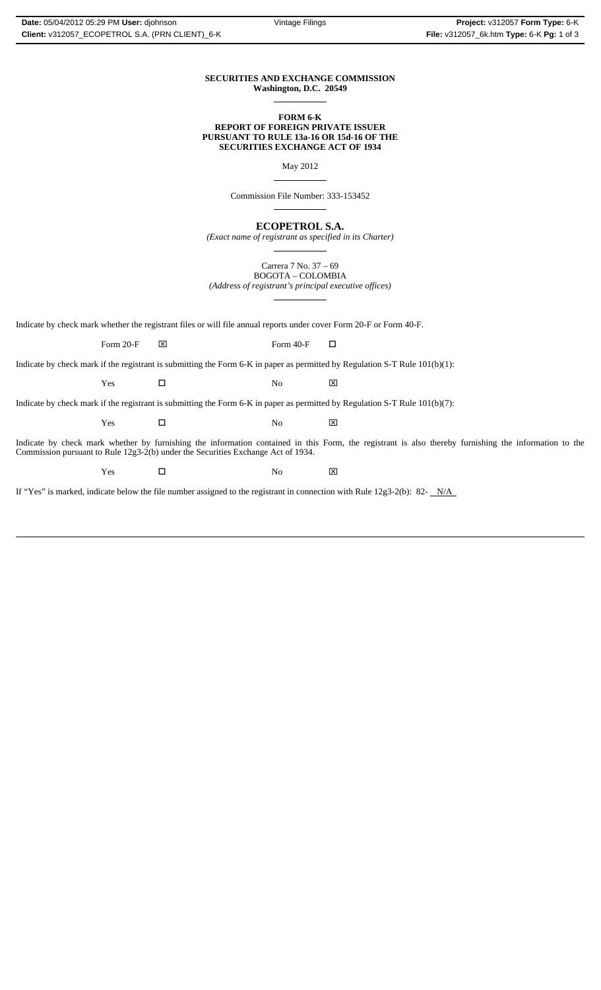#### **SECURITIES AND EXCHANGE COMMISSION Washington, D.C. 20549**  $\overline{a}$

### **FORM 6-K REPORT OF FOREIGN PRIVATE ISSUER PURSUANT TO RULE 13a-16 OR 15d-16 OF THE SECURITIES EXCHANGE ACT OF 1934**

May 2012

 $\overline{a}$ 

 $\overline{a}$ 

 $\overline{a}$ 

Commission File Number: 333-153452

**ECOPETROL S.A.**

*(Exact name of registrant as specified in its Charter)*  $\overline{a}$ 

Carrera 7 No. 37 – 69 BOGOTA – COLOMBIA *(Address of registrant's principal executive offices)*

Indicate by check mark whether the registrant files or will file annual reports under cover Form 20-F or Form 40-F.

Form 20-F  $\boxtimes$  Form 40-F  $\Box$ 

Indicate by check mark if the registrant is submitting the Form 6-K in paper as permitted by Regulation S-T Rule 101(b)(1):

Yes □ No ⊠

Indicate by check mark if the registrant is submitting the Form 6-K in paper as permitted by Regulation S-T Rule 101(b)(7):

Yes □ No ⊠

Indicate by check mark whether by furnishing the information contained in this Form, the registrant is also thereby furnishing the information to the Commission pursuant to Rule 12g3-2(b) under the Securities Exchange Act of 1934.

 $Yes$   $\square$  No  $X$ 

If "Yes" is marked, indicate below the file number assigned to the registrant in connection with Rule 12g3-2(b): 82-  $N/A$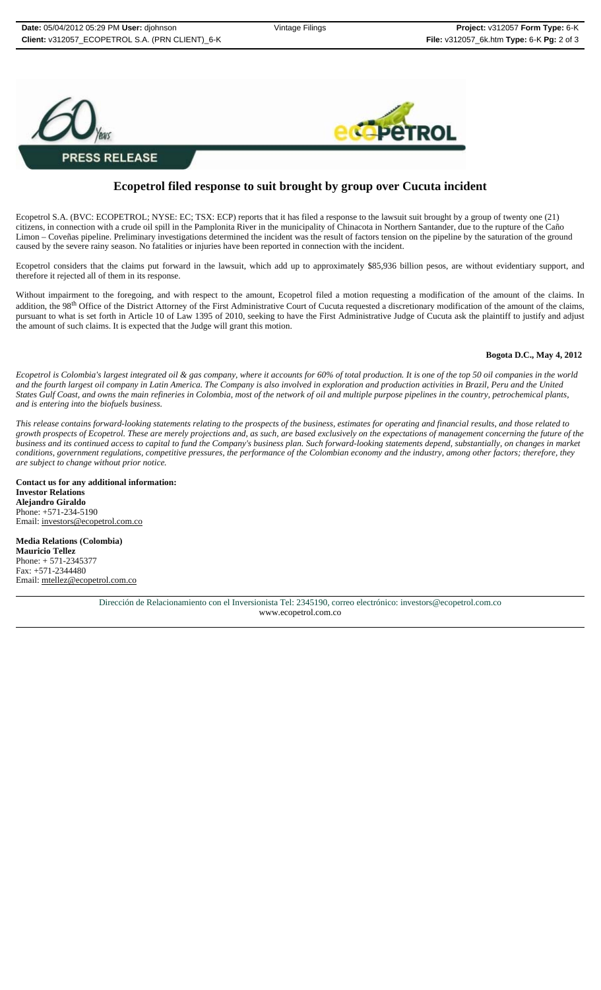

# **Ecopetrol filed response to suit brought by group over Cucuta incident**

Ecopetrol S.A. (BVC: ECOPETROL; NYSE: EC; TSX: ECP) reports that it has filed a response to the lawsuit suit brought by a group of twenty one (21) citizens, in connection with a crude oil spill in the Pamplonita River in the municipality of Chinacota in Northern Santander, due to the rupture of the Caño Limon – Coveñas pipeline. Preliminary investigations determined the incident was the result of factors tension on the pipeline by the saturation of the ground caused by the severe rainy season. No fatalities or injuries have been reported in connection with the incident.

Ecopetrol considers that the claims put forward in the lawsuit, which add up to approximately \$85,936 billion pesos, are without evidentiary support, and therefore it rejected all of them in its response.

Without impairment to the foregoing, and with respect to the amount, Ecopetrol filed a motion requesting a modification of the amount of the claims. In addition, the 98<sup>th</sup> Office of the District Attorney of the First Administrative Court of Cucuta requested a discretionary modification of the amount of the claims, pursuant to what is set forth in Article 10 of Law 1395 of 2010, seeking to have the First Administrative Judge of Cucuta ask the plaintiff to justify and adjust the amount of such claims. It is expected that the Judge will grant this motion.

### **Bogota D.C., May 4, 2012**

*Ecopetrol is Colombia's largest integrated oil & gas company, where it accounts for 60% of total production. It is one of the top 50 oil companies in the world and the fourth largest oil company in Latin America. The Company is also involved in exploration and production activities in Brazil, Peru and the United States Gulf Coast, and owns the main refineries in Colombia, most of the network of oil and multiple purpose pipelines in the country, petrochemical plants, and is entering into the biofuels business.*

*This release contains forward-looking statements relating to the prospects of the business, estimates for operating and financial results, and those related to growth prospects of Ecopetrol. These are merely projections and, as such, are based exclusively on the expectations of management concerning the future of the business and its continued access to capital to fund the Company's business plan. Such forward-looking statements depend, substantially, on changes in market conditions, government regulations, competitive pressures, the performance of the Colombian economy and the industry, among other factors; therefore, they are subject to change without prior notice.*

**Contact us for any additional information: Investor Relations Alejandro Giraldo**  Phone: +571-234-5190 Email: investors@ecopetrol.com.co

**Media Relations (Colombia) Mauricio Tellez**  Phone:  $+ 571 - 234537$ Fax: +571-2344480 Email: mtellez@ecopetrol.com.co

> Dirección de Relacionamiento con el Inversionista Tel: 2345190, correo electrónico: investors@ecopetrol.com.co www.ecopetrol.com.co